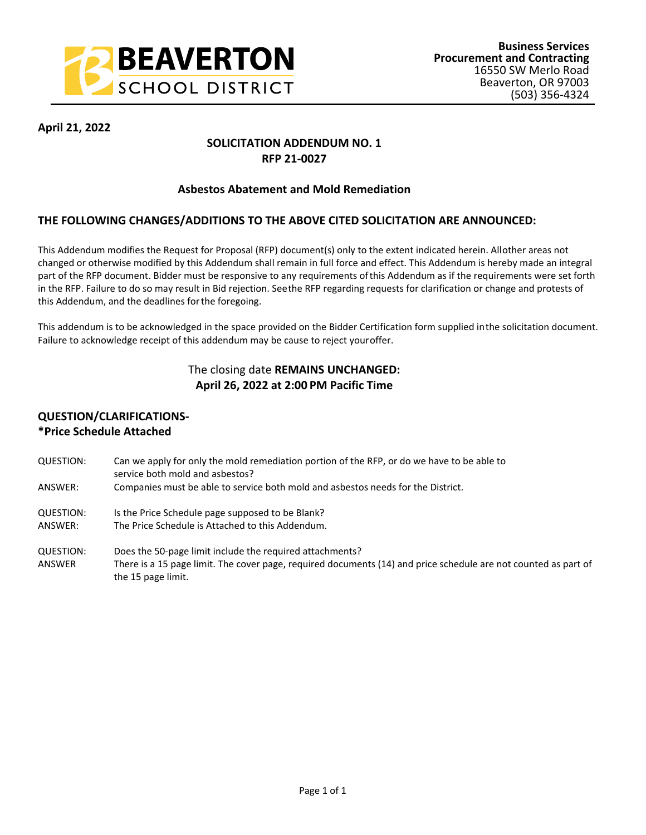

### **April 21, 2022**

### **SOLICITATION ADDENDUM NO. 1 RFP 21-0027**

#### **Asbestos Abatement and Mold Remediation**

### **THE FOLLOWING CHANGES/ADDITIONS TO THE ABOVE CITED SOLICITATION ARE ANNOUNCED:**

This Addendum modifies the Request for Proposal (RFP) document(s) only to the extent indicated herein. All other areas not changed or otherwise modified by this Addendum shall remain in full force and effect. This Addendum is hereby made an integral part of the RFP document. Bidder must be responsive to any requirements of this Addendum as if the requirements were set forth in the RFP. Failure to do so may result in Bid rejection. See the RFP regarding requests for clarification or change and protests of this Addendum, and the deadlines for the foregoing.

This addendum is to be acknowledged in the space provided on the Bidder Certification form supplied in the solicitation document. Failure to acknowledge receipt of this addendum may be cause to reject your offer.

# The closing date **REMAINS UNCHANGED: April 26, 2022 at 2:00 PM Pacific Time**

## **QUESTION/CLARIFICATIONS- \*Price Schedule Attached**

- QUESTION: Can we apply for only the mold remediation portion of the RFP, or do we have to be able to service both mold and asbestos? ANSWER: Companies must be able to service both mold and asbestos needs for the District.
- QUESTION: Is the Price Schedule page supposed to be Blank?
- ANSWER: The Price Schedule is Attached to this Addendum.
- QUESTION: Does the 50-page limit include the required attachments? ANSWER There is a 15 page limit. The cover page, required documents (14) and price schedule are not counted as part of the 15 page limit.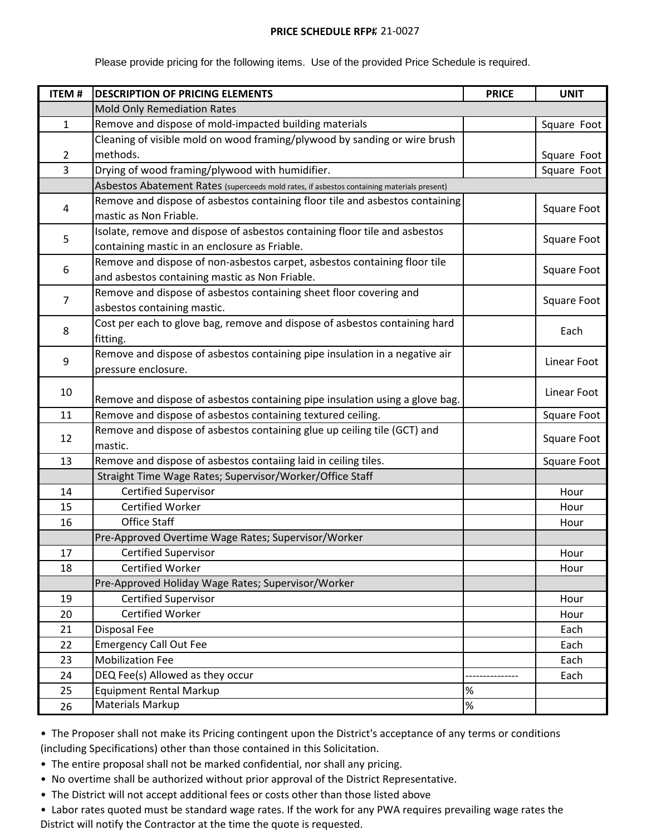#### **PRICE SCHEDULE RFP# 21-0027**

Please provide pricing for the following items. Use of the provided Price Schedule is required.

| <b>ITEM#</b>   | <b>DESCRIPTION OF PRICING ELEMENTS</b>                                                     | <b>PRICE</b> | <b>UNIT</b> |
|----------------|--------------------------------------------------------------------------------------------|--------------|-------------|
|                | <b>Mold Only Remediation Rates</b>                                                         |              |             |
| $\mathbf{1}$   | Remove and dispose of mold-impacted building materials                                     |              | Square Foot |
|                | Cleaning of visible mold on wood framing/plywood by sanding or wire brush                  |              |             |
| $\overline{2}$ | methods.                                                                                   |              | Square Foot |
| 3              | Drying of wood framing/plywood with humidifier.                                            |              | Square Foot |
|                | Asbestos Abatement Rates (superceeds mold rates, if asbestos containing materials present) |              |             |
| 4              | Remove and dispose of asbestos containing floor tile and asbestos containing               |              |             |
|                | mastic as Non Friable.                                                                     |              | Square Foot |
| 5              | Isolate, remove and dispose of asbestos containing floor tile and asbestos                 |              | Square Foot |
|                | containing mastic in an enclosure as Friable.                                              |              |             |
| 6              | Remove and dispose of non-asbestos carpet, asbestos containing floor tile                  |              | Square Foot |
|                | and asbestos containing mastic as Non Friable.                                             |              |             |
| $\overline{7}$ | Remove and dispose of asbestos containing sheet floor covering and                         |              |             |
|                | asbestos containing mastic.                                                                |              | Square Foot |
| 8              | Cost per each to glove bag, remove and dispose of asbestos containing hard                 |              |             |
|                | fitting.                                                                                   |              | Each        |
| 9              | Remove and dispose of asbestos containing pipe insulation in a negative air                |              | Linear Foot |
|                | pressure enclosure.                                                                        |              |             |
| 10             |                                                                                            |              | Linear Foot |
|                | Remove and dispose of asbestos containing pipe insulation using a glove bag.               |              |             |
| 11             | Remove and dispose of asbestos containing textured ceiling.                                |              | Square Foot |
| 12             | Remove and dispose of asbestos containing glue up ceiling tile (GCT) and                   |              | Square Foot |
|                | mastic.                                                                                    |              |             |
| 13             | Remove and dispose of asbestos contaiing laid in ceiling tiles.                            |              | Square Foot |
|                | Straight Time Wage Rates; Supervisor/Worker/Office Staff                                   |              |             |
| 14             | Certified Supervisor                                                                       |              | Hour        |
| 15             | Certified Worker                                                                           |              | Hour        |
| 16             | <b>Office Staff</b>                                                                        |              | Hour        |
|                | Pre-Approved Overtime Wage Rates; Supervisor/Worker                                        |              |             |
| 17             | <b>Certified Supervisor</b>                                                                |              | Hour        |
| 18             | Certified Worker                                                                           |              | Hour        |
|                | Pre-Approved Holiday Wage Rates; Supervisor/Worker                                         |              |             |
| 19             | <b>Certified Supervisor</b>                                                                |              | Hour        |
| 20             | <b>Certified Worker</b>                                                                    |              | Hour        |
| 21             | Disposal Fee                                                                               |              | Each        |
| 22             | <b>Emergency Call Out Fee</b>                                                              |              | Each        |
| 23             | <b>Mobilization Fee</b>                                                                    |              | Each        |
| 24             | DEQ Fee(s) Allowed as they occur                                                           |              | Each        |
| 25             | <b>Equipment Rental Markup</b>                                                             | %            |             |
| 26             | <b>Materials Markup</b>                                                                    | $\%$         |             |

• The Proposer shall not make its Pricing contingent upon the District's acceptance of any terms or conditions (including Specifications) other than those contained in this Solicitation.

- The entire proposal shall not be marked confidential, nor shall any pricing.
- No overtime shall be authorized without prior approval of the District Representative.
- The District will not accept additional fees or costs other than those listed above
- Labor rates quoted must be standard wage rates. If the work for any PWA requires prevailing wage rates the District will notify the Contractor at the time the quote is requested.